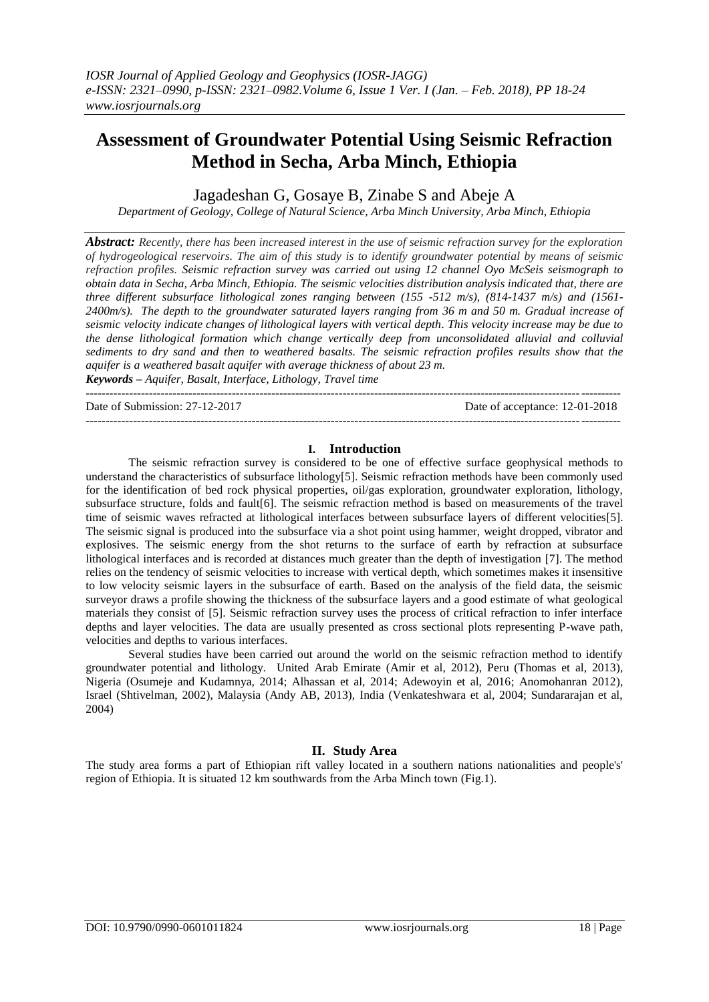# **Assessment of Groundwater Potential Using Seismic Refraction Method in Secha, Arba Minch, Ethiopia**

Jagadeshan G, Gosaye B, Zinabe S and Abeje A

*Department of Geology, College of Natural Science, Arba Minch University, Arba Minch, Ethiopia*

*Abstract: Recently, there has been increased interest in the use of seismic refraction survey for the exploration of hydrogeological reservoirs. The aim of this study is to identify groundwater potential by means of seismic refraction profiles. Seismic refraction survey was carried out using 12 channel Oyo McSeis seismograph to obtain data in Secha, Arba Minch, Ethiopia. The seismic velocities distribution analysis indicated that, there are three different subsurface lithological zones ranging between (155 -512 m/s), (814-1437 m/s) and (1561- 2400m/s). The depth to the groundwater saturated layers ranging from 36 m and 50 m. Gradual increase of seismic velocity indicate changes of lithological layers with vertical depth. This velocity increase may be due to the dense lithological formation which change vertically deep from unconsolidated alluvial and colluvial sediments to dry sand and then to weathered basalts. The seismic refraction profiles results show that the aquifer is a weathered basalt aquifer with average thickness of about 23 m. Keywords* **–** *Aquifer, Basalt, Interface, Lithology, Travel time*

Date of Submission: 27-12-2017 Date of acceptance: 12-01-2018

---------------------------------------------------------------------------------------------------------------------------------------

---------------------------------------------------------------------------------------------------------------------------------------

#### **I. Introduction**

The seismic refraction survey is considered to be one of effective surface geophysical methods to understand the characteristics of subsurface lithology[5]. Seismic refraction methods have been commonly used for the identification of bed rock physical properties, oil/gas exploration, groundwater exploration, lithology, subsurface structure, folds and fault[6]. The seismic refraction method is based on measurements of the travel time of seismic waves refracted at lithological interfaces between subsurface layers of different velocities [5]. The seismic signal is produced into the subsurface via a shot point using hammer, weight dropped, vibrator and explosives. The seismic energy from the shot returns to the surface of earth by refraction at subsurface lithological interfaces and is recorded at distances much greater than the depth of investigation [7]. The method relies on the tendency of seismic velocities to increase with vertical depth, which sometimes makes it insensitive to low velocity seismic layers in the subsurface of earth. Based on the analysis of the field data, the seismic surveyor draws a profile showing the thickness of the subsurface layers and a good estimate of what geological materials they consist of [5]. Seismic refraction survey uses the process of critical refraction to infer interface depths and layer velocities. The data are usually presented as cross sectional plots representing P-wave path, velocities and depths to various interfaces.

Several studies have been carried out around the world on the seismic refraction method to identify groundwater potential and lithology. United Arab Emirate (Amir et al, 2012), Peru (Thomas et al, 2013), Nigeria (Osumeje and Kudamnya, 2014; Alhassan et al, 2014; Adewoyin et al, 2016; Anomohanran 2012), Israel (Shtivelman, 2002), Malaysia (Andy AB, 2013), India (Venkateshwara et al, 2004; Sundararajan et al, 2004)

## **II. Study Area**

The study area forms a part of Ethiopian rift valley located in a southern nations nationalities and people's' region of Ethiopia. It is situated 12 km southwards from the Arba Minch town (Fig.1).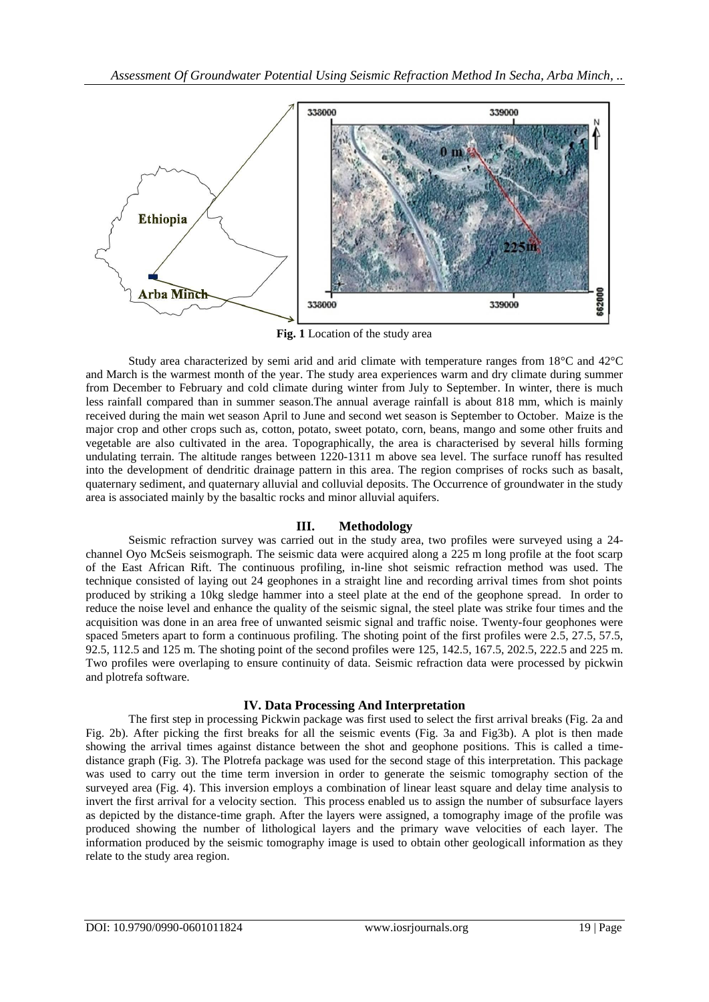

**Fig. 1** Location of the study area

Study area characterized by semi arid and arid climate with temperature ranges from 18°C and 42°C and March is the warmest month of the year. The study area experiences warm and dry climate during summer from December to February and cold climate during winter from July to September. In winter, there is much less rainfall compared than in summer season.The annual average rainfall is about 818 mm, which is mainly received during the main wet season April to June and second wet season is September to October. Maize is the major crop and other crops such as, cotton, potato, sweet potato, corn, beans, mango and some other fruits and vegetable are also cultivated in the area. Topographically, the area is characterised by several hills forming undulating terrain. The altitude ranges between 1220-1311 m above sea level. The surface runoff has resulted into the development of dendritic drainage pattern in this area. The region comprises of rocks such as basalt, quaternary sediment, and quaternary alluvial and colluvial deposits. The Occurrence of groundwater in the study area is associated mainly by the basaltic rocks and minor alluvial aquifers.

## **III. Methodology**

Seismic refraction survey was carried out in the study area, two profiles were surveyed using a 24 channel Oyo McSeis seismograph. The seismic data were acquired along a 225 m long profile at the foot scarp of the East African Rift. The continuous profiling, in-line shot seismic refraction method was used. The technique consisted of laying out 24 geophones in a straight line and recording arrival times from shot points produced by striking a 10kg sledge hammer into a steel plate at the end of the geophone spread. In order to reduce the noise level and enhance the quality of the seismic signal, the steel plate was strike four times and the acquisition was done in an area free of unwanted seismic signal and traffic noise. Twenty-four geophones were spaced 5meters apart to form a continuous profiling. The shoting point of the first profiles were 2.5, 27.5, 57.5, 92.5, 112.5 and 125 m. The shoting point of the second profiles were 125, 142.5, 167.5, 202.5, 222.5 and 225 m. Two profiles were overlaping to ensure continuity of data. Seismic refraction data were processed by pickwin and plotrefa software.

## **IV. Data Processing And Interpretation**

The first step in processing Pickwin package was first used to select the first arrival breaks (Fig. 2a and Fig. 2b). After picking the first breaks for all the seismic events (Fig. 3a and Fig3b). A plot is then made showing the arrival times against distance between the shot and geophone positions. This is called a timedistance graph (Fig. 3). The Plotrefa package was used for the second stage of this interpretation. This package was used to carry out the time term inversion in order to generate the seismic tomography section of the surveyed area (Fig. 4). This inversion employs a combination of linear least square and delay time analysis to invert the first arrival for a velocity section. This process enabled us to assign the number of subsurface layers as depicted by the distance-time graph. After the layers were assigned, a tomography image of the profile was produced showing the number of lithological layers and the primary wave velocities of each layer. The information produced by the seismic tomography image is used to obtain other geologicall information as they relate to the study area region.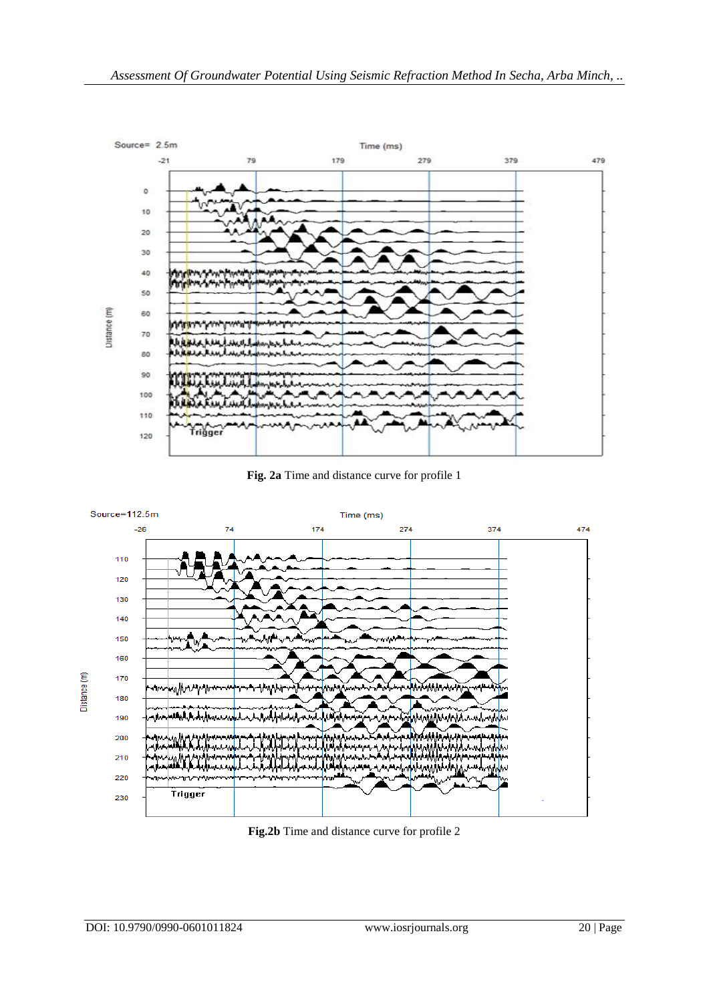





**Fig.2b** Time and distance curve for profile 2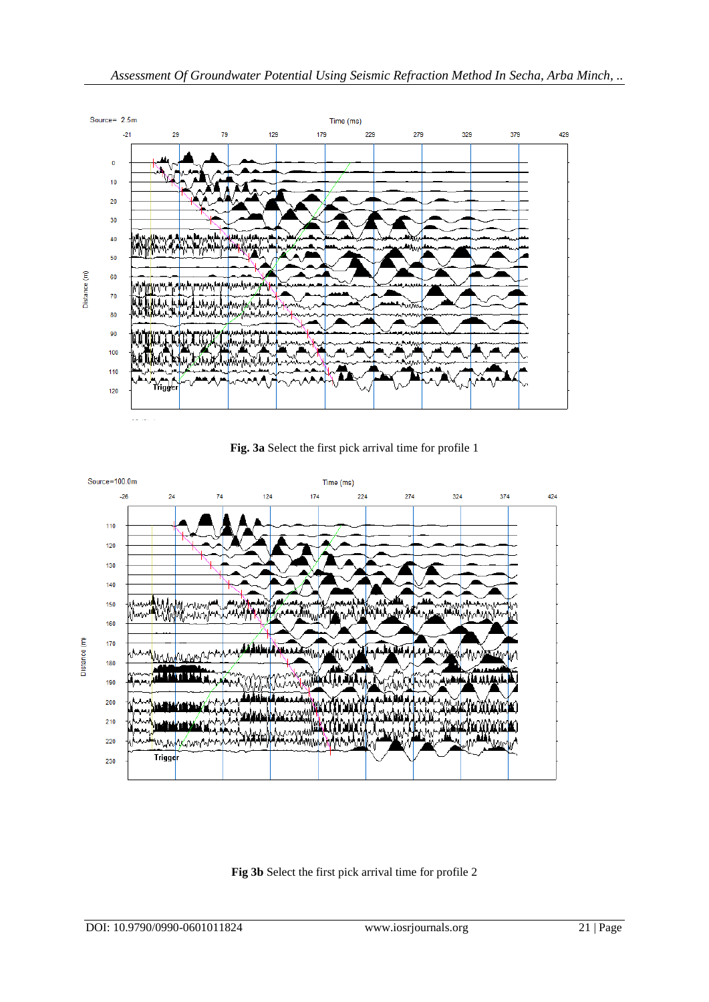

**Fig. 3a** Select the first pick arrival time for profile 1



# **Fig 3b** Select the first pick arrival time for profile 2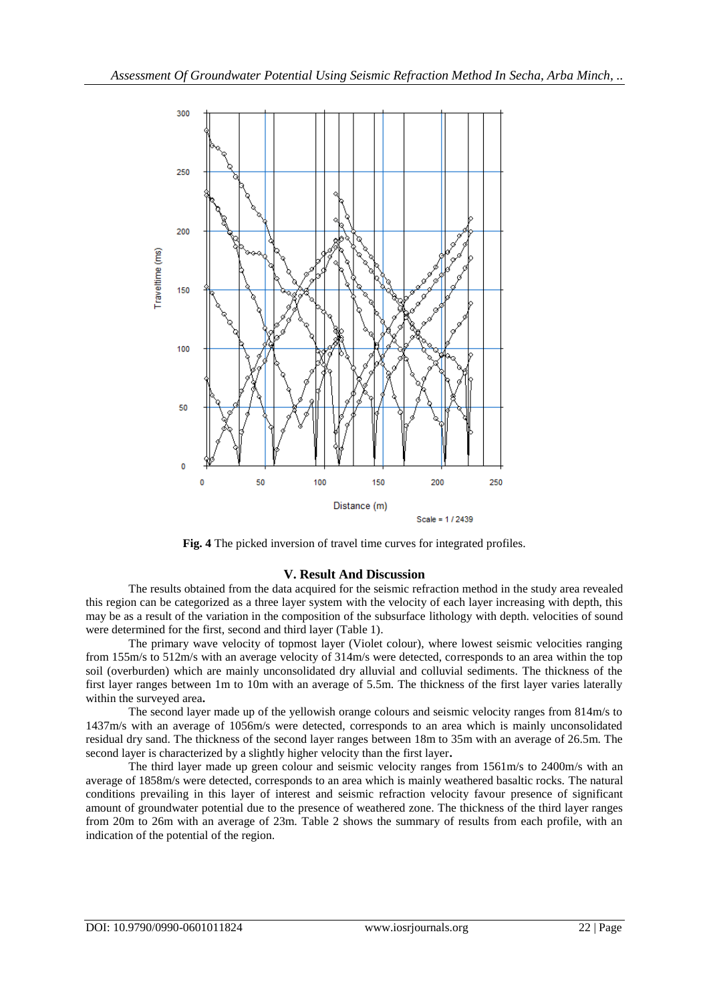

**Fig. 4** The picked inversion of travel time curves for integrated profiles.

## **V. Result And Discussion**

The results obtained from the data acquired for the seismic refraction method in the study area revealed this region can be categorized as a three layer system with the velocity of each layer increasing with depth, this may be as a result of the variation in the composition of the subsurface lithology with depth. velocities of sound were determined for the first, second and third layer (Table 1).

The primary wave velocity of topmost layer (Violet colour), where lowest seismic velocities ranging from 155m/s to 512m/s with an average velocity of 314m/s were detected, corresponds to an area within the top soil (overburden) which are mainly unconsolidated dry alluvial and colluvial sediments. The thickness of the first layer ranges between 1m to 10m with an average of 5.5m. The thickness of the first layer varies laterally within the surveyed area**.** 

The second layer made up of the yellowish orange colours and seismic velocity ranges from 814m/s to 1437m/s with an average of 1056m/s were detected, corresponds to an area which is mainly unconsolidated residual dry sand. The thickness of the second layer ranges between 18m to 35m with an average of 26.5m. The second layer is characterized by a slightly higher velocity than the first layer**.** 

The third layer made up green colour and seismic velocity ranges from 1561m/s to 2400m/s with an average of 1858m/s were detected, corresponds to an area which is mainly weathered basaltic rocks. The natural conditions prevailing in this layer of interest and seismic refraction velocity favour presence of significant amount of groundwater potential due to the presence of weathered zone. The thickness of the third layer ranges from 20m to 26m with an average of 23m. Table 2 shows the summary of results from each profile, with an indication of the potential of the region.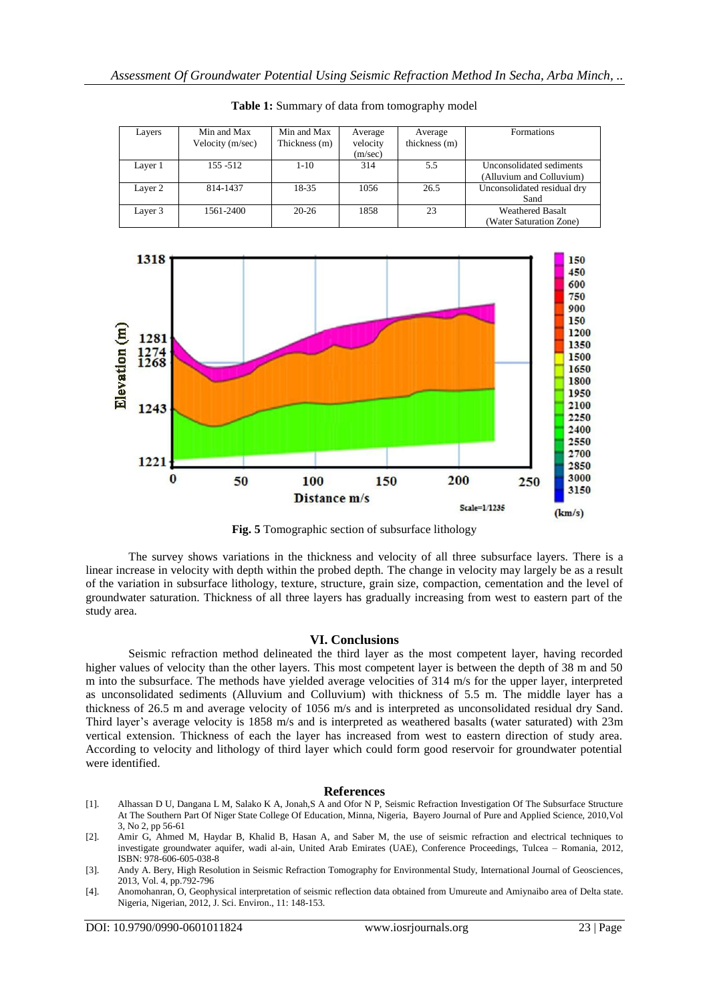| Layers  | Min and Max<br>Velocity (m/sec) | Min and Max<br>Thickness (m) | Average<br>velocity<br>(m/sec) | Average<br>thickness (m) | <b>Formations</b>                                    |
|---------|---------------------------------|------------------------------|--------------------------------|--------------------------|------------------------------------------------------|
| Layer 1 | $155 - 512$                     | $1-10$                       | 314                            | 5.5                      | Unconsolidated sediments<br>(Alluvium and Colluvium) |
| Layer 2 | 814-1437                        | 18-35                        | 1056                           | 26.5                     | Unconsolidated residual dry<br>Sand                  |
| Layer 3 | 1561-2400                       | $20 - 26$                    | 1858                           | 23                       | <b>Weathered Basalt</b><br>(Water Saturation Zone)   |

**Table 1:** Summary of data from tomography model



**Fig. 5** Tomographic section of subsurface lithology

The survey shows variations in the thickness and velocity of all three subsurface layers. There is a linear increase in velocity with depth within the probed depth. The change in velocity may largely be as a result of the variation in subsurface lithology, texture, structure, grain size, compaction, cementation and the level of groundwater saturation. Thickness of all three layers has gradually increasing from west to eastern part of the study area.

#### **VI. Conclusions**

Seismic refraction method delineated the third layer as the most competent layer, having recorded higher values of velocity than the other layers. This most competent layer is between the depth of 38 m and 50 m into the subsurface. The methods have yielded average velocities of 314 m/s for the upper layer, interpreted as unconsolidated sediments (Alluvium and Colluvium) with thickness of 5.5 m. The middle layer has a thickness of 26.5 m and average velocity of 1056 m/s and is interpreted as unconsolidated residual dry Sand. Third layer's average velocity is 1858 m/s and is interpreted as weathered basalts (water saturated) with 23m vertical extension. Thickness of each the layer has increased from west to eastern direction of study area. According to velocity and lithology of third layer which could form good reservoir for groundwater potential were identified.

#### **References**

- [1]. Alhassan D U, Dangana L M, Salako K A, Jonah,S A and Ofor N P, Seismic Refraction Investigation Of The Subsurface Structure At The Southern Part Of Niger State College Of Education, Minna, Nigeria, Bayero Journal of Pure and Applied Science, 2010,Vol 3, No 2, pp 56-61
- [2]. Amir G, Ahmed M, Haydar B, Khalid B, Hasan A, and Saber M, the use of seismic refraction and electrical techniques to investigate groundwater aquifer, wadi al-ain, United Arab Emirates (UAE), Conference Proceedings, Tulcea – Romania, 2012, ISBN: 978-606-605-038-8

<sup>[3].</sup> Andy A. Bery, High Resolution in Seismic Refraction Tomography for Environmental Study, International Journal of Geosciences, 2013, Vol. 4, pp.792-796

<sup>[4].</sup> Anomohanran, O, Geophysical interpretation of seismic reflection data obtained from Umureute and Amiynaibo area of Delta state. Nigeria, Nigerian, 2012, J. Sci. Environ., 11: 148-153.